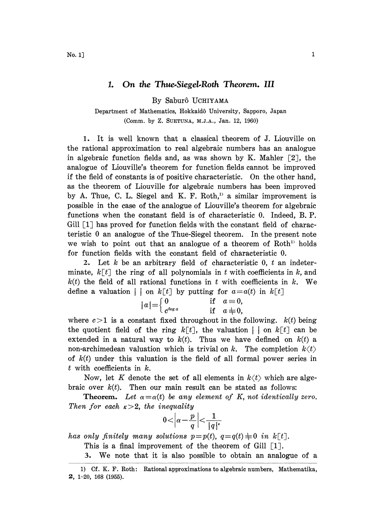## 1. On the Thue.Siegel.Roth Theorem. III

By Sabur6 UCHIYAMA

Department of Mathematics, Hokkaid6 University, Sapporo, Japan (Comm. by Z. SOETUNA, M.J.A., Jan. 12, 1960)

1. It is well known that a classical theorem of J. Liouville on the rational approximation to real algebraic numbers has an analogue in algebraic function fields and, as was shown by K. Mahler  $\lceil 2 \rceil$ , the analogue of Liouville's theorem for function fields cannot be improved if the field of constants is of positive characteristic. On the other hand, as the theorem of Liouville for algebraic numbers has been improved by A. Thue, C. L. Siegel and K. F. Roth, $\mu$  a similar improvement is possible in the case of the analogue of Liouville's theorem for algebraic functions when the constant field is of characteristic 0. Indeed, B. P. Gill  $[1]$  has proved for function fields with the constant field of characteristic 0 an analogue of the Thue-Siegel theorem. In the present note we wish to point out that an analogue of a theorem of Roth' holds for function fields with the constant field of characteristic 0.

2. Let k be an arbitrary field of characteristic  $0, t$  an indeterminate,  $k[t]$  the ring of all polynomials in t with coefficients in k, and  $k(t)$  the field of all rational functions in t with coefficients in k. We define a valuation  $| \cdot |$  on  $k[t]$  by putting for  $a=a(t)$  in  $k[t]$ 

$$
|a| = \begin{cases} 0 & \text{if } a \equiv 0, \\ c^{\deg a} & \text{if } a \not\equiv 0, \end{cases}
$$

where  $c > 1$  is a constant fixed throughout in the following.  $k(t)$  being the quotient field of the ring  $k[t]$ , the valuation | | on  $k[t]$  can be extended in a natural way to  $k(t)$ . Thus we have defined on  $k(t)$  a non-archimedean valuation which is trivial on k. The completion  $k(t)$ of  $k(t)$  under this valuation is the field of all formal power series in  $t$  with coefficients in  $k$ .

Now, let K denote the set of all elements in  $k\langle t \rangle$  which are algebraic over  $k(t)$ . Then our main result can be stated as follows:

**Theorem.** Let  $\alpha = \alpha(t)$  be any element of K, not identically zero. Then for each  $\kappa > 2$ , the inequality

$$
0<\left|\alpha-\frac{p}{q}\right|<\frac{1}{|q|^{\epsilon}}
$$

has only finitely many solutions  $p=p(t)$ ,  $q=q(t)\equiv0$  in  $k\lceil t\rceil$ .

This is a final improvement of the theorem of Gill  $\lceil 1 \rceil$ .

3. We note that it is also possible to obtain an analogue of <sup>a</sup>

<sup>1)</sup> cf. K. F. Roth: Rational approximations to algebraic numbers, Mathematika, 1-20, 168 (1955).